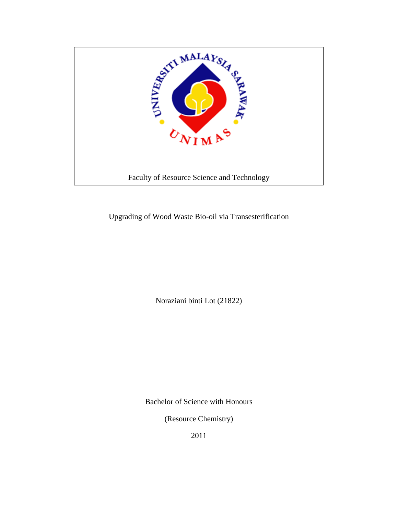

Upgrading of Wood Waste Bio-oil via Transesterification

Noraziani binti Lot (21822)

Bachelor of Science with Honours

(Resource Chemistry)

2011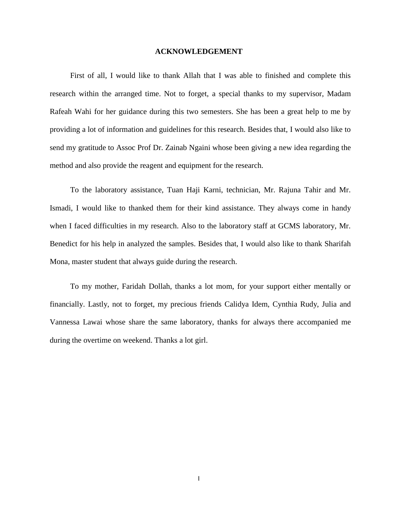### **ACKNOWLEDGEMENT**

First of all, I would like to thank Allah that I was able to finished and complete this research within the arranged time. Not to forget, a special thanks to my supervisor, Madam Rafeah Wahi for her guidance during this two semesters. She has been a great help to me by providing a lot of information and guidelines for this research. Besides that, I would also like to send my gratitude to Assoc Prof Dr. Zainab Ngaini whose been giving a new idea regarding the method and also provide the reagent and equipment for the research.

To the laboratory assistance, Tuan Haji Karni, technician, Mr. Rajuna Tahir and Mr. Ismadi, I would like to thanked them for their kind assistance. They always come in handy when I faced difficulties in my research. Also to the laboratory staff at GCMS laboratory, Mr. Benedict for his help in analyzed the samples. Besides that, I would also like to thank Sharifah Mona, master student that always guide during the research.

To my mother, Faridah Dollah, thanks a lot mom, for your support either mentally or financially. Lastly, not to forget, my precious friends Calidya Idem, Cynthia Rudy, Julia and Vannessa Lawai whose share the same laboratory, thanks for always there accompanied me during the overtime on weekend. Thanks a lot girl.

I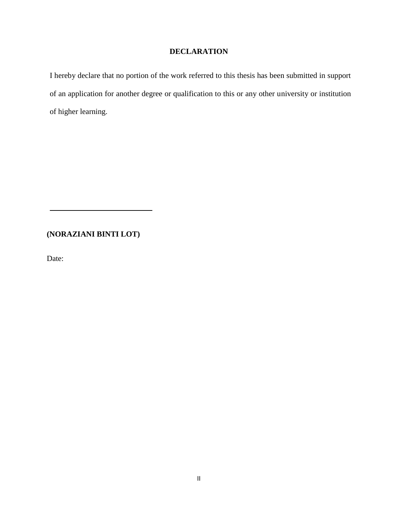# **DECLARATION**

I hereby declare that no portion of the work referred to this thesis has been submitted in support of an application for another degree or qualification to this or any other university or institution of higher learning.

# **(NORAZIANI BINTI LOT)**

Date: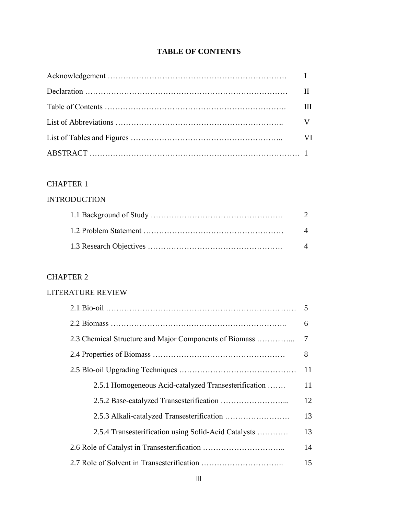# **TABLE OF CONTENTS**

| Ш         |
|-----------|
|           |
| <b>VI</b> |
|           |

# CHAPTER 1

# INTRODUCTION

| 2                  |
|--------------------|
| $\Delta$           |
| $\mathbf{\Lambda}$ |

# CHAPTER 2

# LITERATURE REVIEW

|                                                        | .5 |
|--------------------------------------------------------|----|
|                                                        | 6  |
| 2.3 Chemical Structure and Major Components of Biomass | 7  |
|                                                        | 8  |
|                                                        | 11 |
| 2.5.1 Homogeneous Acid-catalyzed Transesterification   | 11 |
|                                                        | 12 |
|                                                        | 13 |
| 2.5.4 Transesterification using Solid-Acid Catalysts   | 13 |
|                                                        | 14 |
|                                                        | 15 |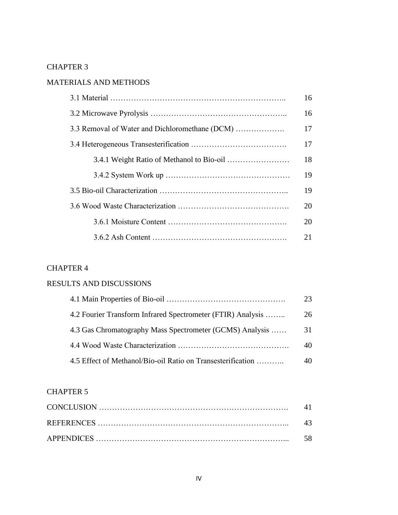# CHAPTER 3

# MATERIALS AND METHODS

|                                                | 16 |
|------------------------------------------------|----|
|                                                | 16 |
| 3.3 Removal of Water and Dichloromethane (DCM) | 17 |
|                                                | 17 |
|                                                | 18 |
|                                                | 19 |
|                                                | 19 |
|                                                | 20 |
|                                                | 20 |
|                                                | 21 |

# CHAPTER 4

# RESULTS AND DISCUSSIONS

|                                                             | 23 |
|-------------------------------------------------------------|----|
| 4.2 Fourier Transform Infrared Spectrometer (FTIR) Analysis | 26 |
| 4.3 Gas Chromatography Mass Spectrometer (GCMS) Analysis    | 31 |
|                                                             | 40 |
| 4.5 Effect of Methanol/Bio-oil Ratio on Transesterification | 40 |

# CHAPTER 5

| 43 |
|----|
|    |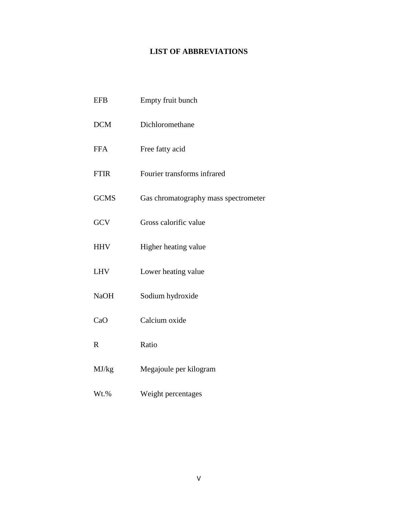# **LIST OF ABBREVIATIONS**

| <b>EFB</b>  | Empty fruit bunch                    |
|-------------|--------------------------------------|
| DCM         | Dichloromethane                      |
| <b>FFA</b>  | Free fatty acid                      |
| <b>FTIR</b> | Fourier transforms infrared          |
| <b>GCMS</b> | Gas chromatography mass spectrometer |
| GCV         | Gross calorific value                |
| <b>HHV</b>  | Higher heating value                 |
| <b>LHV</b>  | Lower heating value                  |
| <b>NaOH</b> | Sodium hydroxide                     |
| CaO         | Calcium oxide                        |
| $\mathbf R$ | Ratio                                |
| MJ/kg       | Megajoule per kilogram               |

Wt.% Weight percentages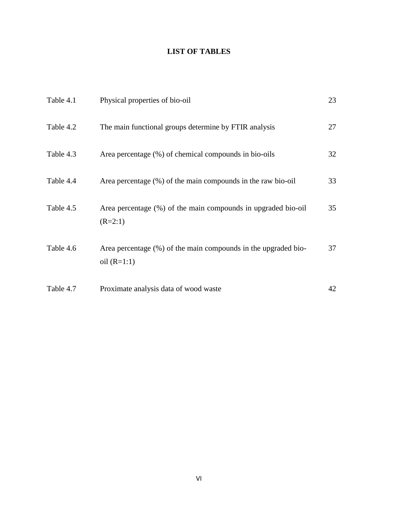# **LIST OF TABLES**

| Table 4.1 | Physical properties of bio-oil                                                  | 23 |
|-----------|---------------------------------------------------------------------------------|----|
| Table 4.2 | The main functional groups determine by FTIR analysis                           | 27 |
| Table 4.3 | Area percentage (%) of chemical compounds in bio-oils                           | 32 |
| Table 4.4 | Area percentage (%) of the main compounds in the raw bio-oil                    | 33 |
| Table 4.5 | Area percentage (%) of the main compounds in upgraded bio-oil<br>$(R=2:1)$      | 35 |
| Table 4.6 | Area percentage (%) of the main compounds in the upgraded bio-<br>oil $(R=1:1)$ | 37 |
| Table 4.7 | Proximate analysis data of wood waste                                           | 42 |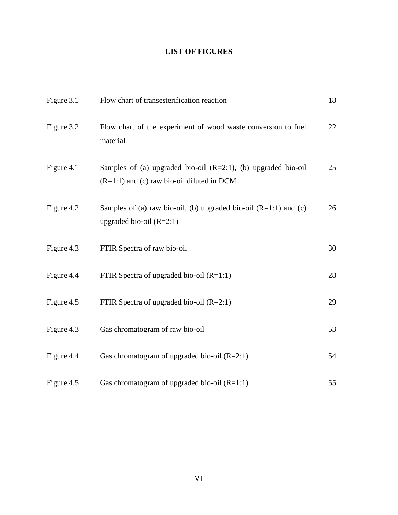# **LIST OF FIGURES**

| Figure 3.1 | Flow chart of transesterification reaction                                                                       | 18 |
|------------|------------------------------------------------------------------------------------------------------------------|----|
| Figure 3.2 | Flow chart of the experiment of wood waste conversion to fuel<br>material                                        | 22 |
| Figure 4.1 | Samples of (a) upgraded bio-oil $(R=2:1)$ , (b) upgraded bio-oil<br>$(R=1:1)$ and (c) raw bio-oil diluted in DCM | 25 |
| Figure 4.2 | Samples of (a) raw bio-oil, (b) upgraded bio-oil $(R=1:1)$ and (c)<br>upgraded bio-oil $(R=2:1)$                 | 26 |
| Figure 4.3 | FTIR Spectra of raw bio-oil                                                                                      | 30 |
| Figure 4.4 | FTIR Spectra of upgraded bio-oil $(R=1:1)$                                                                       | 28 |
| Figure 4.5 | FTIR Spectra of upgraded bio-oil $(R=2:1)$                                                                       | 29 |
| Figure 4.3 | Gas chromatogram of raw bio-oil                                                                                  | 53 |
| Figure 4.4 | Gas chromatogram of upgraded bio-oil $(R=2:1)$                                                                   | 54 |
| Figure 4.5 | Gas chromatogram of upgraded bio-oil $(R=1:1)$                                                                   | 55 |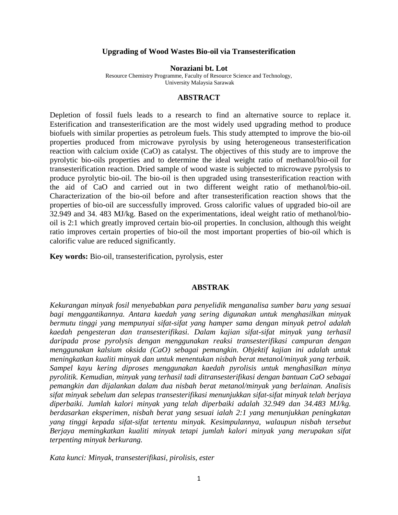### **Upgrading of Wood Wastes Bio-oil via Transesterification**

**Noraziani bt. Lot** 

Resource Chemistry Programme, Faculty of Resource Science and Technology, University Malaysia Sarawak

### **ABSTRACT**

Depletion of fossil fuels leads to a research to find an alternative source to replace it. Esterification and transesterification are the most widely used upgrading method to produce biofuels with similar properties as petroleum fuels. This study attempted to improve the bio-oil properties produced from microwave pyrolysis by using heterogeneous transesterification reaction with calcium oxide (CaO) as catalyst. The objectives of this study are to improve the pyrolytic bio-oils properties and to determine the ideal weight ratio of methanol/bio-oil for transesterification reaction. Dried sample of wood waste is subjected to microwave pyrolysis to produce pyrolytic bio-oil. The bio-oil is then upgraded using transesterification reaction with the aid of CaO and carried out in two different weight ratio of methanol/bio-oil. Characterization of the bio-oil before and after transesterification reaction shows that the properties of bio-oil are successfully improved. Gross calorific values of upgraded bio-oil are 32.949 and 34. 483 MJ/kg. Based on the experimentations, ideal weight ratio of methanol/biooil is 2:1 which greatly improved certain bio-oil properties. In conclusion, although this weight ratio improves certain properties of bio-oil the most important properties of bio-oil which is calorific value are reduced significantly.

**Key words:** Bio-oil, transesterification, pyrolysis, ester

## **ABSTRAK**

*Kekurangan minyak fosil menyebabkan para penyelidik menganalisa sumber baru yang sesuai bagi menggantikannya. Antara kaedah yang sering digunakan untuk menghasilkan minyak bermutu tinggi yang mempunyai sifat-sifat yang hamper sama dengan minyak petrol adalah kaedah pengesteran dan transesterifikasi. Dalam kajian sifat-sifat minyak yang terhasil daripada prose pyrolysis dengan menggunakan reaksi transesterifikasi campuran dengan menggunakan kalsium oksida (CaO) sebagai pemangkin. Objektif kajian ini adalah untuk meningkatkan kualiti minyak dan untuk menentukan nisbah berat metanol/minyak yang terbaik. Sampel kayu kering diproses menggunakan kaedah pyrolisis untuk menghasilkan minya pyrolitik. Kemudian, minyak yang terhasil tadi ditransesterifikasi dengan bantuan CaO sebagai pemangkin dan dijalankan dalam dua nisbah berat metanol/minyak yang berlainan. Analisis sifat minyak sebelum dan selepas transesterifikasi menunjukkan sifat-sifat minyak telah berjaya diperbaiki. Jumlah kalori minyak yang telah diperbaiki adalah 32.949 dan 34.483 MJ/kg. berdasarkan eksperimen, nisbah berat yang sesuai ialah 2:1 yang menunjukkan peningkatan yang tinggi kepada sifat-sifat tertentu minyak. Kesimpulannya, walaupun nisbah tersebut Berjaya memingkatkan kualiti minyak tetapi jumlah kalori minyak yang merupakan sifat terpenting minyak berkurang.* 

*Kata kunci: Minyak, transesterifikasi, pirolisis, ester*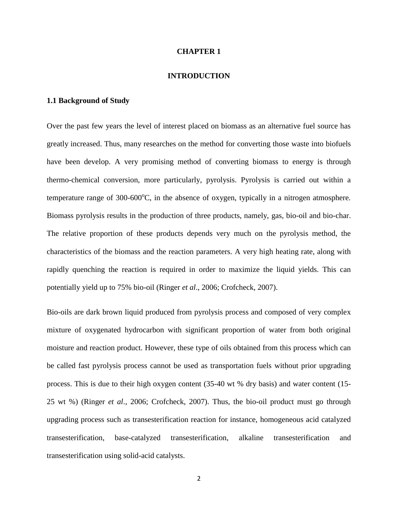### **CHAPTER 1**

#### **INTRODUCTION**

# **1.1 Background of Study**

Over the past few years the level of interest placed on biomass as an alternative fuel source has greatly increased. Thus, many researches on the method for converting those waste into biofuels have been develop. A very promising method of converting biomass to energy is through thermo-chemical conversion, more particularly, pyrolysis. Pyrolysis is carried out within a temperature range of  $300-600^{\circ}$ C, in the absence of oxygen, typically in a nitrogen atmosphere. Biomass pyrolysis results in the production of three products, namely, gas, bio-oil and bio-char. The relative proportion of these products depends very much on the pyrolysis method, the characteristics of the biomass and the reaction parameters. A very high heating rate, along with rapidly quenching the reaction is required in order to maximize the liquid yields. This can potentially yield up to 75% bio-oil (Ringer *et al*., 2006; Crofcheck, 2007).

Bio-oils are dark brown liquid produced from pyrolysis process and composed of very complex mixture of oxygenated hydrocarbon with significant proportion of water from both original moisture and reaction product. However, these type of oils obtained from this process which can be called fast pyrolysis process cannot be used as transportation fuels without prior upgrading process. This is due to their high oxygen content (35-40 wt % dry basis) and water content (15- 25 wt %) (Ringer *et al*., 2006; Crofcheck, 2007). Thus, the bio-oil product must go through upgrading process such as transesterification reaction for instance, homogeneous acid catalyzed transesterification, base-catalyzed transesterification, alkaline transesterification and transesterification using solid-acid catalysts.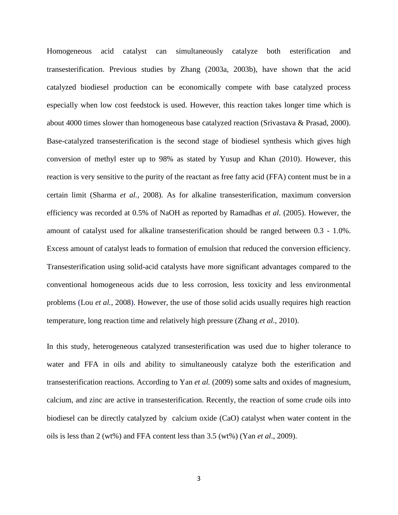Homogeneous acid catalyst can simultaneously catalyze both esterification and transesterification. Previous studies by Zhang (2003a, 2003b), have shown that the acid catalyzed biodiesel production can be economically compete with base catalyzed process especially when low cost feedstock is used. However, this reaction takes longer time which is about 4000 times slower than homogeneous base catalyzed reaction (Srivastava & Prasad, 2000). Base-catalyzed transesterification is the second stage of biodiesel synthesis which gives high conversion of methyl ester up to 98% as stated by Yusup and Khan (2010). However, this reaction is very sensitive to the purity of the reactant as free fatty acid (FFA) content must be in a certain limit (Sharma *et al.,* 2008). As for alkaline transesterification, maximum conversion efficiency was recorded at 0.5% of NaOH as reported by Ramadhas *et al.* (2005). However, the amount of catalyst used for alkaline transesterification should be ranged between 0.3 - 1.0%. Excess amount of catalyst leads to formation of emulsion that reduced the conversion efficiency. Transesterification using solid-acid catalysts have more significant advantages compared to the conventional homogeneous acids due to less corrosion, less toxicity and less environmental problems (Lou *et al.,* 2008). However, the use of those solid acids usually requires high reaction temperature, long reaction time and relatively high pressure (Zhang *et al.,* 2010).

In this study, heterogeneous catalyzed transesterification was used due to higher tolerance to water and FFA in oils and ability to simultaneously catalyze both the esterification and transesterification reactions. According to Yan *et al.* (2009) some salts and oxides of magnesium, calcium, and zinc are active in transesterification. Recently, the reaction of some crude oils into biodiesel can be directly catalyzed by calcium oxide (CaO) catalyst when water content in the oils is less than 2 (wt%) and FFA content less than 3.5 (wt%) (Yan *et al*., 2009).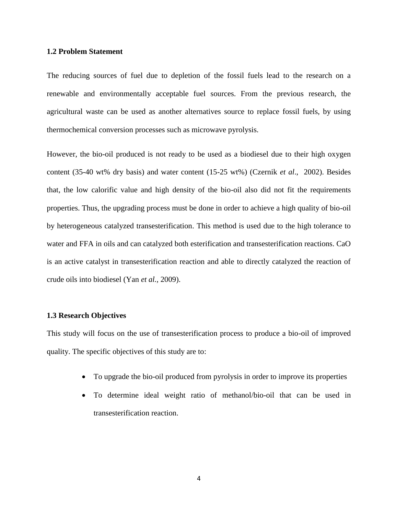## **1.2 Problem Statement**

The reducing sources of fuel due to depletion of the fossil fuels lead to the research on a renewable and environmentally acceptable fuel sources. From the previous research, the agricultural waste can be used as another alternatives source to replace fossil fuels, by using thermochemical conversion processes such as microwave pyrolysis.

However, the bio-oil produced is not ready to be used as a biodiesel due to their high oxygen content (35-40 wt% dry basis) and water content (15-25 wt%) (Czernik *et al*., 2002). Besides that, the low calorific value and high density of the bio-oil also did not fit the requirements properties. Thus, the upgrading process must be done in order to achieve a high quality of bio-oil by heterogeneous catalyzed transesterification. This method is used due to the high tolerance to water and FFA in oils and can catalyzed both esterification and transesterification reactions. CaO is an active catalyst in transesterification reaction and able to directly catalyzed the reaction of crude oils into biodiesel (Yan *et al.,* 2009).

### **1.3 Research Objectives**

This study will focus on the use of transesterification process to produce a bio-oil of improved quality. The specific objectives of this study are to:

- To upgrade the bio-oil produced from pyrolysis in order to improve its properties
- To determine ideal weight ratio of methanol/bio-oil that can be used in transesterification reaction.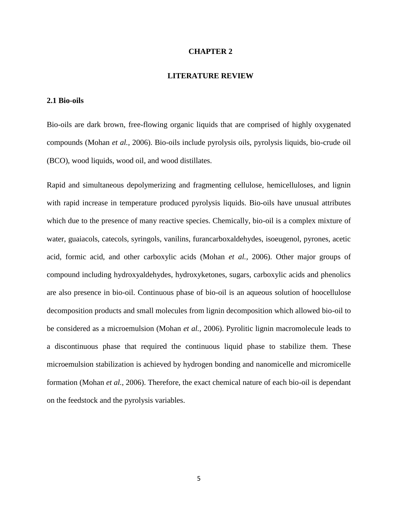### **CHAPTER 2**

#### **LITERATURE REVIEW**

# **2.1 Bio-oils**

Bio-oils are dark brown, free-flowing organic liquids that are comprised of highly oxygenated compounds (Mohan *et al.,* 2006). Bio-oils include pyrolysis oils, pyrolysis liquids, bio-crude oil (BCO), wood liquids, wood oil, and wood distillates.

Rapid and simultaneous depolymerizing and fragmenting cellulose, hemicelluloses, and lignin with rapid increase in temperature produced pyrolysis liquids. Bio-oils have unusual attributes which due to the presence of many reactive species. Chemically, bio-oil is a complex mixture of water, guaiacols, catecols, syringols, vanilins, furancarboxaldehydes, isoeugenol, pyrones, acetic acid, formic acid, and other carboxylic acids (Mohan *et al.,* 2006). Other major groups of compound including hydroxyaldehydes, hydroxyketones, sugars, carboxylic acids and phenolics are also presence in bio-oil. Continuous phase of bio-oil is an aqueous solution of hoocellulose decomposition products and small molecules from lignin decomposition which allowed bio-oil to be considered as a microemulsion (Mohan *et al.,* 2006). Pyrolitic lignin macromolecule leads to a discontinuous phase that required the continuous liquid phase to stabilize them. These microemulsion stabilization is achieved by hydrogen bonding and nanomicelle and micromicelle formation (Mohan *et al.,* 2006). Therefore, the exact chemical nature of each bio-oil is dependant on the feedstock and the pyrolysis variables.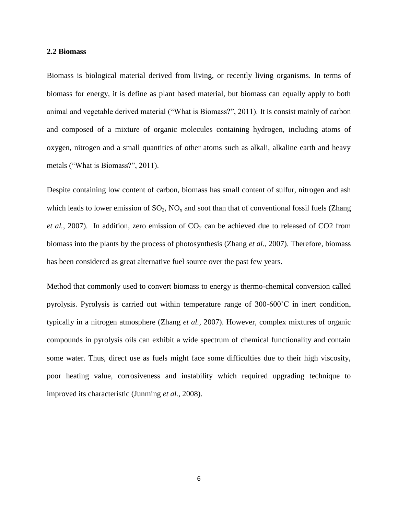#### **2.2 Biomass**

Biomass is biological material derived from living, or recently living organisms. In terms of biomass for energy, it is define as plant based material, but biomass can equally apply to both animal and vegetable derived material ("What is Biomass?", 2011). It is consist mainly of carbon and composed of a mixture of organic molecules containing hydrogen, including atoms of oxygen, nitrogen and a small quantities of other atoms such as alkali, alkaline earth and heavy metals ("What is Biomass?", 2011).

Despite containing low content of carbon, biomass has small content of sulfur, nitrogen and ash which leads to lower emission of  $SO_2$ ,  $NO_x$  and soot than that of conventional fossil fuels (Zhang *et al.*, 2007). In addition, zero emission of  $CO<sub>2</sub>$  can be achieved due to released of  $CO<sub>2</sub>$  from biomass into the plants by the process of photosynthesis (Zhang *et al.*, 2007). Therefore, biomass has been considered as great alternative fuel source over the past few years.

Method that commonly used to convert biomass to energy is thermo-chemical conversion called pyrolysis. Pyrolysis is carried out within temperature range of 300-600˚C in inert condition, typically in a nitrogen atmosphere (Zhang *et al.,* 2007). However, complex mixtures of organic compounds in pyrolysis oils can exhibit a wide spectrum of chemical functionality and contain some water. Thus, direct use as fuels might face some difficulties due to their high viscosity, poor heating value, corrosiveness and instability which required upgrading technique to improved its characteristic (Junming *et al.,* 2008).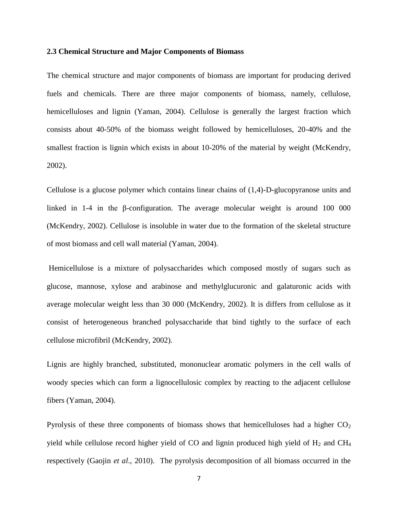### **2.3 Chemical Structure and Major Components of Biomass**

The chemical structure and major components of biomass are important for producing derived fuels and chemicals. There are three major components of biomass, namely, cellulose, hemicelluloses and lignin (Yaman, 2004). Cellulose is generally the largest fraction which consists about 40-50% of the biomass weight followed by hemicelluloses, 20-40% and the smallest fraction is lignin which exists in about 10-20% of the material by weight (McKendry, 2002).

Cellulose is a glucose polymer which contains linear chains of (1,4)-D-glucopyranose units and linked in 1-4 in the β-configuration. The average molecular weight is around 100 000 (McKendry, 2002). Cellulose is insoluble in water due to the formation of the skeletal structure of most biomass and cell wall material (Yaman, 2004).

Hemicellulose is a mixture of polysaccharides which composed mostly of sugars such as glucose, mannose, xylose and arabinose and methylglucuronic and galaturonic acids with average molecular weight less than 30 000 (McKendry, 2002). It is differs from cellulose as it consist of heterogeneous branched polysaccharide that bind tightly to the surface of each cellulose microfibril (McKendry, 2002).

Lignis are highly branched, substituted, mononuclear aromatic polymers in the cell walls of woody species which can form a lignocellulosic complex by reacting to the adjacent cellulose fibers (Yaman, 2004).

Pyrolysis of these three components of biomass shows that hemicelluloses had a higher  $CO<sub>2</sub>$ yield while cellulose record higher yield of CO and lignin produced high yield of  $H_2$  and CH<sub>4</sub> respectively (Gaojin *et al*., 2010). The pyrolysis decomposition of all biomass occurred in the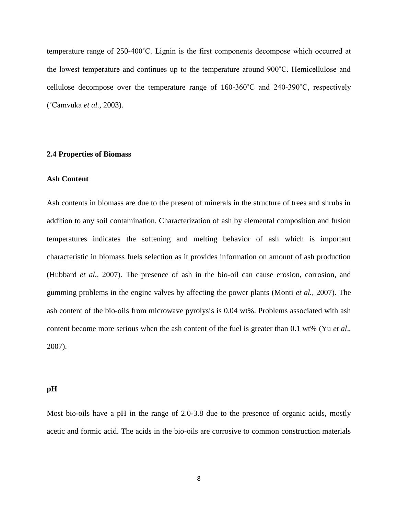temperature range of 250-400˚C. Lignin is the first components decompose which occurred at the lowest temperature and continues up to the temperature around 900˚C. Hemicellulose and cellulose decompose over the temperature range of 160-360˚C and 240-390˚C, respectively (˚Camvuka *et al.,* 2003).

### **2.4 Properties of Biomass**

## **Ash Content**

Ash contents in biomass are due to the present of minerals in the structure of trees and shrubs in addition to any soil contamination. Characterization of ash by elemental composition and fusion temperatures indicates the softening and melting behavior of ash which is important characteristic in biomass fuels selection as it provides information on amount of ash production (Hubbard *et al.,* 2007). The presence of ash in the bio-oil can cause erosion, corrosion, and gumming problems in the engine valves by affecting the power plants (Monti *et al.,* 2007). The ash content of the bio-oils from microwave pyrolysis is 0.04 wt%. Problems associated with ash content become more serious when the ash content of the fuel is greater than 0.1 wt% (Yu *et al*., 2007).

#### **pH**

Most bio-oils have a pH in the range of 2.0-3.8 due to the presence of organic acids, mostly acetic and formic acid. The acids in the bio-oils are corrosive to common construction materials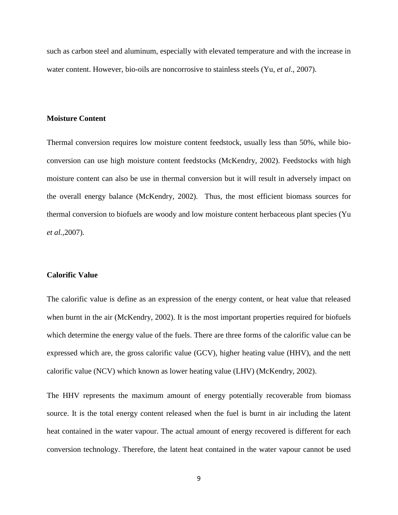such as carbon steel and aluminum, especially with elevated temperature and with the increase in water content. However, bio-oils are noncorrosive to stainless steels (Yu, *et al*., 2007).

### **Moisture Content**

Thermal conversion requires low moisture content feedstock, usually less than 50%, while bioconversion can use high moisture content feedstocks (McKendry, 2002). Feedstocks with high moisture content can also be use in thermal conversion but it will result in adversely impact on the overall energy balance (McKendry, 2002). Thus, the most efficient biomass sources for thermal conversion to biofuels are woody and low moisture content herbaceous plant species (Yu *et al.,*2007).

### **Calorific Value**

The calorific value is define as an expression of the energy content, or heat value that released when burnt in the air (McKendry, 2002). It is the most important properties required for biofuels which determine the energy value of the fuels. There are three forms of the calorific value can be expressed which are, the gross calorific value (GCV), higher heating value (HHV), and the nett calorific value (NCV) which known as lower heating value (LHV) (McKendry, 2002).

The HHV represents the maximum amount of energy potentially recoverable from biomass source. It is the total energy content released when the fuel is burnt in air including the latent heat contained in the water vapour. The actual amount of energy recovered is different for each conversion technology. Therefore, the latent heat contained in the water vapour cannot be used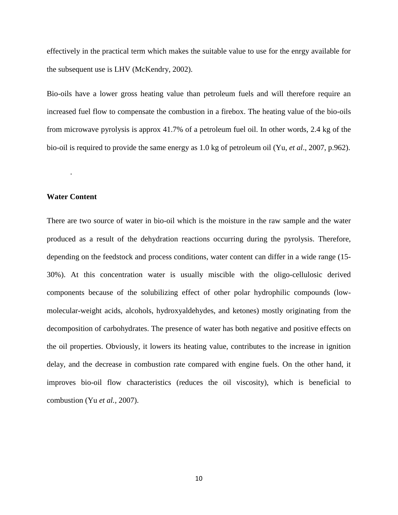effectively in the practical term which makes the suitable value to use for the enrgy available for the subsequent use is LHV (McKendry, 2002).

Bio-oils have a lower gross heating value than petroleum fuels and will therefore require an increased fuel flow to compensate the combustion in a firebox. The heating value of the bio-oils from microwave pyrolysis is approx 41.7% of a petroleum fuel oil. In other words, 2.4 kg of the bio-oil is required to provide the same energy as 1.0 kg of petroleum oil (Yu, *et al*., 2007, p.962).

# **Water Content**

.

There are two source of water in bio-oil which is the moisture in the raw sample and the water produced as a result of the dehydration reactions occurring during the pyrolysis. Therefore, depending on the feedstock and process conditions, water content can differ in a wide range (15- 30%). At this concentration water is usually miscible with the oligo-cellulosic derived components because of the solubilizing effect of other polar hydrophilic compounds (lowmolecular-weight acids, alcohols, hydroxyaldehydes, and ketones) mostly originating from the decomposition of carbohydrates. The presence of water has both negative and positive effects on the oil properties. Obviously, it lowers its heating value, contributes to the increase in ignition delay, and the decrease in combustion rate compared with engine fuels. On the other hand, it improves bio-oil flow characteristics (reduces the oil viscosity), which is beneficial to combustion (Yu *et al.,* 2007).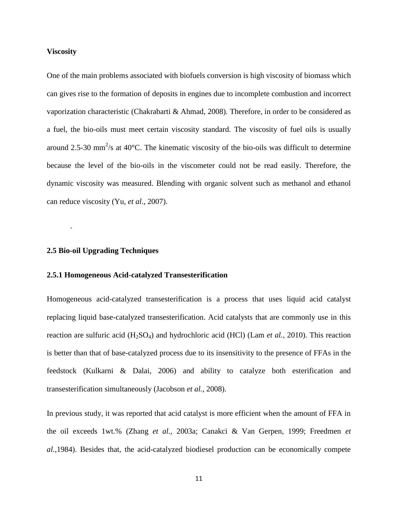## **Viscosity**

One of the main problems associated with biofuels conversion is high viscosity of biomass which can gives rise to the formation of deposits in engines due to incomplete combustion and incorrect vaporization characteristic (Chakrabarti & Ahmad, 2008). Therefore, in order to be considered as a fuel, the bio-oils must meet certain viscosity standard. The viscosity of fuel oils is usually around 2.5-30 mm<sup>2</sup>/s at 40 $^{\circ}$ C. The kinematic viscosity of the bio-oils was difficult to determine because the level of the bio-oils in the viscometer could not be read easily. Therefore, the dynamic viscosity was measured. Blending with organic solvent such as methanol and ethanol can reduce viscosity (Yu, *et al*., 2007).

## **2.5 Bio-oil Upgrading Techniques**

.

## **2.5.1 Homogeneous Acid-catalyzed Transesterification**

Homogeneous acid-catalyzed transesterification is a process that uses liquid acid catalyst replacing liquid base-catalyzed transesterification. Acid catalysts that are commonly use in this reaction are sulfuric acid (H2SO4) and hydrochloric acid (HCl) (Lam *et al.,* 2010). This reaction is better than that of base-catalyzed process due to its insensitivity to the presence of FFAs in the feedstock (Kulkarni & Dalai, 2006) and ability to catalyze both esterification and transesterification simultaneously (Jacobson *et al.,* 2008).

In previous study, it was reported that acid catalyst is more efficient when the amount of FFA in the oil exceeds 1wt.% (Zhang *et al.,* 2003a; Canakci & Van Gerpen, 1999; Freedmen *et al.,*1984). Besides that, the acid-catalyzed biodiesel production can be economically compete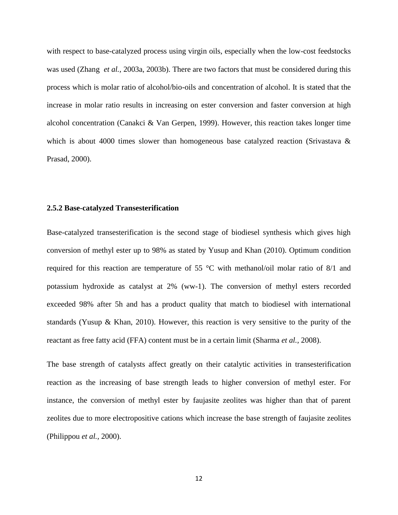with respect to base-catalyzed process using virgin oils, especially when the low-cost feedstocks was used (Zhang *et al.,* 2003a, 2003b). There are two factors that must be considered during this process which is molar ratio of alcohol/bio-oils and concentration of alcohol. It is stated that the increase in molar ratio results in increasing on ester conversion and faster conversion at high alcohol concentration (Canakci & Van Gerpen, 1999). However, this reaction takes longer time which is about 4000 times slower than homogeneous base catalyzed reaction (Srivastava  $\&$ Prasad, 2000).

### **2.5.2 Base-catalyzed Transesterification**

Base-catalyzed transesterification is the second stage of biodiesel synthesis which gives high conversion of methyl ester up to 98% as stated by Yusup and Khan (2010). Optimum condition required for this reaction are temperature of 55 °C with methanol/oil molar ratio of 8/1 and potassium hydroxide as catalyst at 2% (ww-1). The conversion of methyl esters recorded exceeded 98% after 5h and has a product quality that match to biodiesel with international standards (Yusup & Khan, 2010). However, this reaction is very sensitive to the purity of the reactant as free fatty acid (FFA) content must be in a certain limit (Sharma *et al.,* 2008).

The base strength of catalysts affect greatly on their catalytic activities in transesterification reaction as the increasing of base strength leads to higher conversion of methyl ester. For instance, the conversion of methyl ester by faujasite zeolites was higher than that of parent zeolites due to more electropositive cations which increase the base strength of faujasite zeolites (Philippou *et al.,* 2000).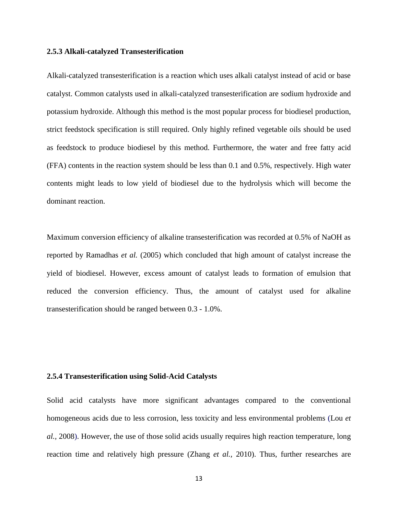## **2.5.3 Alkali-catalyzed Transesterification**

Alkali-catalyzed transesterification is a reaction which uses alkali catalyst instead of acid or base catalyst. Common catalysts used in alkali-catalyzed transesterification are sodium hydroxide and potassium hydroxide. Although this method is the most popular process for biodiesel production, strict feedstock specification is still required. Only highly refined vegetable oils should be used as feedstock to produce biodiesel by this method. Furthermore, the water and free fatty acid (FFA) contents in the reaction system should be less than 0.1 and 0.5%, respectively. High water contents might leads to low yield of biodiesel due to the hydrolysis which will become the dominant reaction.

Maximum conversion efficiency of alkaline transesterification was recorded at 0.5% of NaOH as reported by Ramadhas *et al.* (2005) which concluded that high amount of catalyst increase the yield of biodiesel. However, excess amount of catalyst leads to formation of emulsion that reduced the conversion efficiency. Thus, the amount of catalyst used for alkaline transesterification should be ranged between 0.3 - 1.0%.

#### **2.5.4 Transesterification using Solid-Acid Catalysts**

Solid acid catalysts have more significant advantages compared to the conventional homogeneous acids due to less corrosion, less toxicity and less environmental problems (Lou *et al.,* 2008). However, the use of those solid acids usually requires high reaction temperature, long reaction time and relatively high pressure (Zhang *et al.,* 2010). Thus, further researches are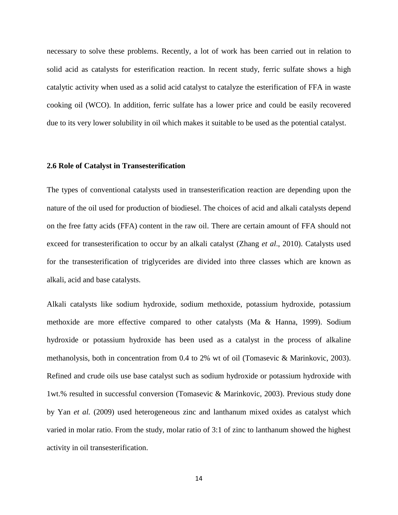necessary to solve these problems. Recently, a lot of work has been carried out in relation to solid acid as catalysts for esterification reaction. In recent study, ferric sulfate shows a high catalytic activity when used as a solid acid catalyst to catalyze the esterification of FFA in waste cooking oil (WCO). In addition, ferric sulfate has a lower price and could be easily recovered due to its very lower solubility in oil which makes it suitable to be used as the potential catalyst.

## **2.6 Role of Catalyst in Transesterification**

The types of conventional catalysts used in transesterification reaction are depending upon the nature of the oil used for production of biodiesel. The choices of acid and alkali catalysts depend on the free fatty acids (FFA) content in the raw oil. There are certain amount of FFA should not exceed for transesterification to occur by an alkali catalyst (Zhang *et al*., 2010). Catalysts used for the transesterification of triglycerides are divided into three classes which are known as alkali, acid and base catalysts.

Alkali catalysts like sodium hydroxide, sodium methoxide, potassium hydroxide, potassium methoxide are more effective compared to other catalysts (Ma & Hanna, 1999). Sodium hydroxide or potassium hydroxide has been used as a catalyst in the process of alkaline methanolysis, both in concentration from 0.4 to 2% wt of oil (Tomasevic & Marinkovic, 2003). Refined and crude oils use base catalyst such as sodium hydroxide or potassium hydroxide with 1wt.% resulted in successful conversion (Tomasevic & Marinkovic, 2003). Previous study done by Yan *et al.* (2009) used heterogeneous zinc and lanthanum mixed oxides as catalyst which varied in molar ratio. From the study, molar ratio of 3:1 of zinc to lanthanum showed the highest activity in oil transesterification.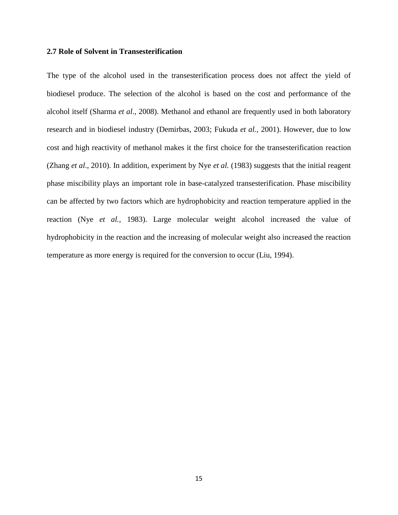### **2.7 Role of Solvent in Transesterification**

The type of the alcohol used in the transesterification process does not affect the yield of biodiesel produce. The selection of the alcohol is based on the cost and performance of the alcohol itself (Sharma *et al*., 2008). Methanol and ethanol are frequently used in both laboratory research and in biodiesel industry (Demirbas, 2003; Fukuda *et al.,* 2001). However, due to low cost and high reactivity of methanol makes it the first choice for the transesterification reaction (Zhang *et al*., 2010). In addition, experiment by Nye *et al.* (1983) suggests that the initial reagent phase miscibility plays an important role in base-catalyzed transesterification. Phase miscibility can be affected by two factors which are hydrophobicity and reaction temperature applied in the reaction (Nye *et al.,* 1983). Large molecular weight alcohol increased the value of hydrophobicity in the reaction and the increasing of molecular weight also increased the reaction temperature as more energy is required for the conversion to occur (Liu, 1994).